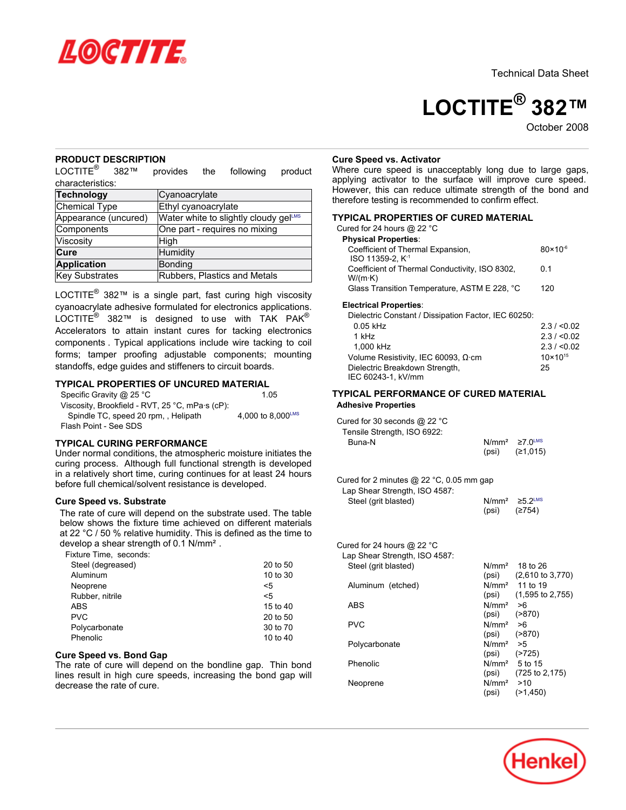

# **LOCTITE® 382™**

October 2008

# **PRODUCT DESCRIPTION**

LOCTITE<sup>®</sup> 382™ provides the following product characteristics:

| <b>Technology</b>    | Cyanoacrylate                         |
|----------------------|---------------------------------------|
| Chemical Type        | Ethyl cyanoacrylate                   |
| Appearance (uncured) | Water white to slightly cloudy gelLMS |
| Components           | One part - requires no mixing         |
| Viscosity            | High                                  |
| Cure                 | Humidity                              |
| <b>Application</b>   | Bonding                               |
| Key Substrates       | Rubbers, Plastics and Metals          |

LOCTITE<sup>®</sup> 382™ is a single part, fast curing high viscosity cyanoacrylate adhesive formulated for electronics applications.  $\mathsf{LOCTITE}^\circledR$  382™ is designed to use with TAK PAK $^\circledR$ Accelerators to attain instant cures for tacking electronics components . Typical applications include wire tacking to coil forms; tamper proofing adjustable components; mounting standoffs, edge guides and stiffeners to circuit boards.

# **TYPICAL PROPERTIES OF UNCURED MATERIAL**

| Specific Gravity @ 25 °C                                | 1.05              |
|---------------------------------------------------------|-------------------|
| Viscosity, Brookfield - RVT, 25 °C, mPa $\cdot$ s (cP): |                   |
| Spindle TC, speed 20 rpm, Helipath                      | 4.000 to 8.000LMS |
| Flash Point - See SDS                                   |                   |

## **TYPICAL CURING PERFORMANCE**

Under normal conditions, the atmospheric moisture initiates the curing process. Although full functional strength is developed in a relatively short time, curing continues for at least 24 hours before full chemical/solvent resistance is developed.

# **Cure Speed vs. Substrate**

The rate of cure will depend on the substrate used. The table below shows the fixture time achieved on different materials at 22 °C / 50 % relative humidity. This is defined as the time to develop a shear strength of 0.1 N/mm².

Fixture Time, seconds:

| Steel (degreased) | 20 to 50 |
|-------------------|----------|
| Aluminum          | 10 to 30 |
| Neoprene          | <5       |
| Rubber, nitrile   | $\leq 5$ |
| <b>ABS</b>        | 15 to 40 |
| <b>PVC</b>        | 20 to 50 |
| Polycarbonate     | 30 to 70 |
| Phenolic          | 10 to 40 |

### **Cure Speed vs. Bond Gap**

The rate of cure will depend on the bondline gap. Thin bond lines result in high cure speeds, increasing the bond gap will decrease the rate of cure.

#### **Cure Speed vs. Activator**

Where cure speed is unacceptably long due to large gaps, applying activator to the surface will improve cure speed. However, this can reduce ultimate strength of the bond and therefore testing is recommended to confirm effect.

# **TYPICAL PROPERTIES OF CURED MATERIAL**

| Cured for 24 hours @ 22 °C<br><b>Physical Properties:</b>       |                     |
|-----------------------------------------------------------------|---------------------|
| Coefficient of Thermal Expansion,                               | $80 \times 10^{-6}$ |
| ISO 11359-2. K <sup>-1</sup>                                    |                     |
| Coefficient of Thermal Conductivity, ISO 8302,                  | 0 1                 |
| $W/(m \cdot K)$<br>Glass Transition Temperature, ASTM E 228, °C | 120                 |
|                                                                 |                     |

#### **Electrical Properties**:

| Dielectric Constant / Dissipation Factor, IEC 60250: |                     |
|------------------------------------------------------|---------------------|
| $0.05$ kHz                                           | 2.3 / 0.02          |
| 1 kHz                                                | 2.3 / 0.02          |
| 1.000 kHz                                            | 2.3 / < 0.02        |
| Volume Resistivity, IEC 60093, Ω·cm                  | $10 \times 10^{15}$ |
| Dielectric Breakdown Strength,                       | 25                  |
| IEC 60243-1, kV/mm                                   |                     |

## **TYPICAL PERFORMANCE OF CURED MATERIAL Adhesive Properties**

| Cured for 30 seconds @ 22 °C |       |                                 |
|------------------------------|-------|---------------------------------|
| Tensile Strength, ISO 6922:  |       |                                 |
| Buna-N                       |       | $N/mm^2 \ge 7.0$ <sup>LMS</sup> |
|                              | (psi) | (≥1.015)                        |

#### Cured for 2 minutes @ 22 °C, 0.05 mm gap

| Lap Shear Strength, ISO 4587: |                  |                                 |
|-------------------------------|------------------|---------------------------------|
| Steel (grit blasted)          |                  | $N/mm^2 \ge 5.2$ <sup>LMS</sup> |
|                               | $(psi)$ $(2754)$ |                                 |

| Cured for 24 hours @ 22 °C<br>Lap Shear Strength, ISO 4587: |                   |                                     |
|-------------------------------------------------------------|-------------------|-------------------------------------|
| Steel (grit blasted)                                        |                   | $N/mm2$ 18 to 26                    |
|                                                             |                   | $(psi)$ $(2,610 \text{ to } 3,770)$ |
| Aluminum (etched)                                           |                   | $N/mm^2$ 11 to 19                   |
|                                                             |                   | $(psi)$ $(1,595$ to 2,755)          |
| <b>ABS</b>                                                  | $N/mm^2 > 6$      |                                     |
|                                                             | (psi)             | ( > 870)                            |
| <b>PVC</b>                                                  | N/mm <sup>2</sup> | 8<                                  |
|                                                             | (psi)             | ( > 870)                            |
| Polycarbonate                                               | N/mm <sup>2</sup> | ->5                                 |
|                                                             | (psi)             | (2725)                              |
| Phenolic                                                    |                   | $N/mm2$ 5 to 15                     |
|                                                             | (psi)             | $(725 \text{ to } 2, 175)$          |
| Neoprene                                                    | $N/mm^2$ >10      |                                     |
|                                                             | (psi)             | (21, 450)                           |

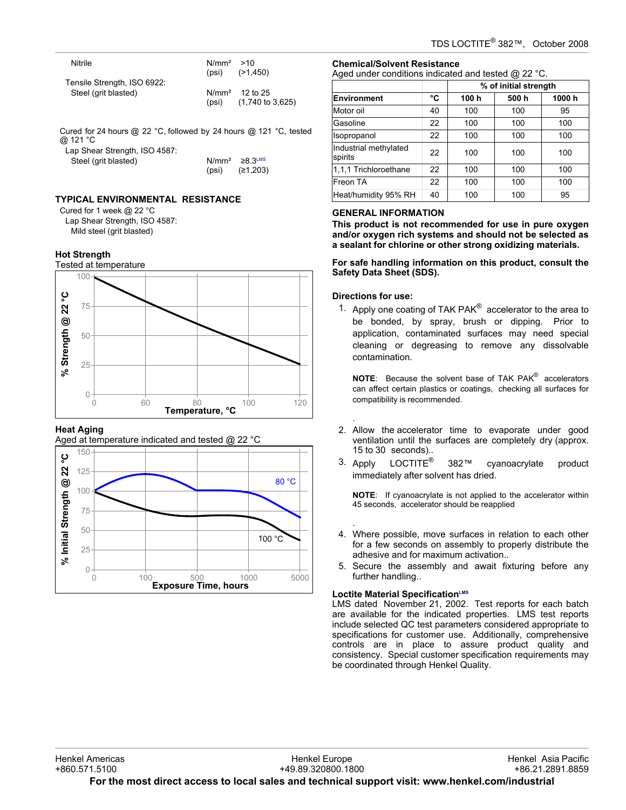| Nitrile                                                                       | $N/mm^2$ >10 | $(psi)$ $(>1,450)$                                      |
|-------------------------------------------------------------------------------|--------------|---------------------------------------------------------|
| Tensile Strength, ISO 6922:<br>Steel (grit blasted)                           |              | $N/mm2$ 12 to 25<br>$(psi)$ $(1,740 \text{ to } 3,625)$ |
| Cured for 24 hours @ 22 °C, followed by 24 hours @ 121 °C, tested<br>@ 121 °C |              |                                                         |
| Lap Shear Strength, ISO 4587:<br>Steel (grit blasted)                         | (psi)        | $N/mm^2 \geq 8.3$ LMS<br>(≥1,203)                       |

# **TYPICAL ENVIRONMENTAL RESISTANCE**

Cured for 1 week @ 22 °C Lap Shear Strength, ISO 4587: Mild steel (grit blasted)

# **Hot Strength**

Tested at temperature



# **Heat Aging**





# **Chemical/Solvent Resistance**

Aged under conditions indicated and tested @ 22 °C.

|                                  |    | % of initial strength |      |       |
|----------------------------------|----|-----------------------|------|-------|
| Environment                      | °C | 100 h                 | 500h | 1000h |
| Motor oil                        | 40 | 100                   | 100  | 95    |
| Gasoline                         | 22 | 100                   | 100  | 100   |
| Isopropanol                      | 22 | 100                   | 100  | 100   |
| Industrial methylated<br>spirits | 22 | 100                   | 100  | 100   |
| 1.1.1 Trichloroethane            | 22 | 100                   | 100  | 100   |
| Freon TA                         | 22 | 100                   | 100  | 100   |
| Heat/humidity 95% RH             | 40 | 100                   | 100  | 95    |

# **GENERAL INFORMATION**

**This product is not recommended for use in pure oxygen and/or oxygen rich systems and should not be selected as a sealant for chlorine or other strong oxidizing materials.**

**For safe handling information on this product, consult the Safety Data Sheet (SDS).**

# **Directions for use:**

.

.

1. Apply one coating of TAK PAK $^{\circledR}$  accelerator to the area to be bonded, by spray, brush or dipping. Prior to application, contaminated surfaces may need special cleaning or degreasing to remove any dissolvable contamination.

**NOTE**: Because the solvent base of TAK PAK® accelerators can affect certain plastics or coatings, checking all surfaces for compatibility is recommended.

- 2. Allow the accelerator time to evaporate under good ventilation until the surfaces are completely dry (approx. 15 to 30- seconds)..
- 3. Apply LOCTITE<sup>®</sup> 382™ cyanoacrylate product immediately after solvent has dried.

**NOTE**: If cyanoacrylate is not applied to the accelerator within 45 seconds, accelerator should be reapplied

- 4. Where possible, move surfaces in relation to each other for a few seconds on assembly to properly distribute the adhesive and for maximum activation..
- 5. Secure the assembly and await fixturing before any further handling..

# **Loctite Material SpecificationLMS**

LMS dated November 21, 2002. Test reports for each batch are available for the indicated properties. LMS test reports include selected QC test parameters considered appropriate to specifications for customer use. Additionally, comprehensive controls are in place to assure product quality and consistency. Special customer specification requirements may be coordinated through Henkel Quality.